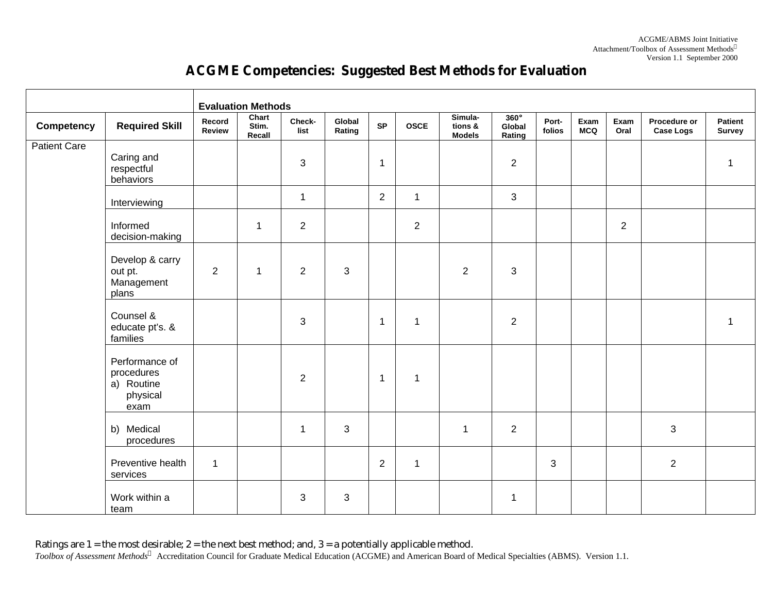|                     |                                                                |                         | <b>Evaluation Methods</b> |                |                  |                |                |                                     |                                 |                 |                    |                |                                  |                          |
|---------------------|----------------------------------------------------------------|-------------------------|---------------------------|----------------|------------------|----------------|----------------|-------------------------------------|---------------------------------|-----------------|--------------------|----------------|----------------------------------|--------------------------|
| Competency          | <b>Required Skill</b>                                          | Record<br><b>Review</b> | Chart<br>Stim.<br>Recall  | Check-<br>list | Global<br>Rating | <b>SP</b>      | <b>OSCE</b>    | Simula-<br>tions &<br><b>Models</b> | $360^\circ$<br>Global<br>Rating | Port-<br>folios | Exam<br><b>MCQ</b> | Exam<br>Oral   | Procedure or<br><b>Case Logs</b> | Patient<br><b>Survey</b> |
| <b>Patient Care</b> | Caring and<br>respectful<br>behaviors                          |                         |                           | 3              |                  | $\overline{1}$ |                |                                     | $\overline{2}$                  |                 |                    |                |                                  | $\mathbf{1}$             |
|                     | Interviewing                                                   |                         |                           | $\mathbf{1}$   |                  | $\overline{2}$ | $\mathbf{1}$   |                                     | 3                               |                 |                    |                |                                  |                          |
|                     | Informed<br>decision-making                                    |                         | 1                         | $\overline{2}$ |                  |                | $\overline{2}$ |                                     |                                 |                 |                    | $\overline{2}$ |                                  |                          |
|                     | Develop & carry<br>out pt.<br>Management<br>plans              | $\overline{2}$          | 1                         | $\overline{2}$ | 3                |                |                | $\overline{2}$                      | $\mathbf{3}$                    |                 |                    |                |                                  |                          |
|                     | Counsel &<br>educate pt's. &<br>families                       |                         |                           | 3              |                  | $\overline{1}$ | $\mathbf{1}$   |                                     | $\overline{2}$                  |                 |                    |                |                                  | $\mathbf{1}$             |
|                     | Performance of<br>procedures<br>a) Routine<br>physical<br>exam |                         |                           | $\overline{2}$ |                  | $\mathbf 1$    | $\mathbf{1}$   |                                     |                                 |                 |                    |                |                                  |                          |
|                     | b) Medical<br>procedures                                       |                         |                           | $\mathbf{1}$   | 3                |                |                | $\mathbf{1}$                        | $\overline{2}$                  |                 |                    |                | 3                                |                          |
|                     | Preventive health<br>services                                  | $\overline{1}$          |                           |                |                  | $\overline{2}$ | $\mathbf{1}$   |                                     |                                 | $\mathbf{3}$    |                    |                | $\overline{2}$                   |                          |
|                     | Work within a<br>team                                          |                         |                           | 3              | 3                |                |                |                                     | $\mathbf{1}$                    |                 |                    |                |                                  |                          |

## **ACGME Competencies: Suggested Best Methods for Evaluation**

Ratings are 1 = the most desirable; 2 = the next best method; and, 3 = a potentially applicable method. *Toolbox of Assessment Methods<sup>ã</sup>* Accreditation Council for Graduate Medical Education (ACGME) and American Board of Medical Specialties (ABMS). Version 1.1.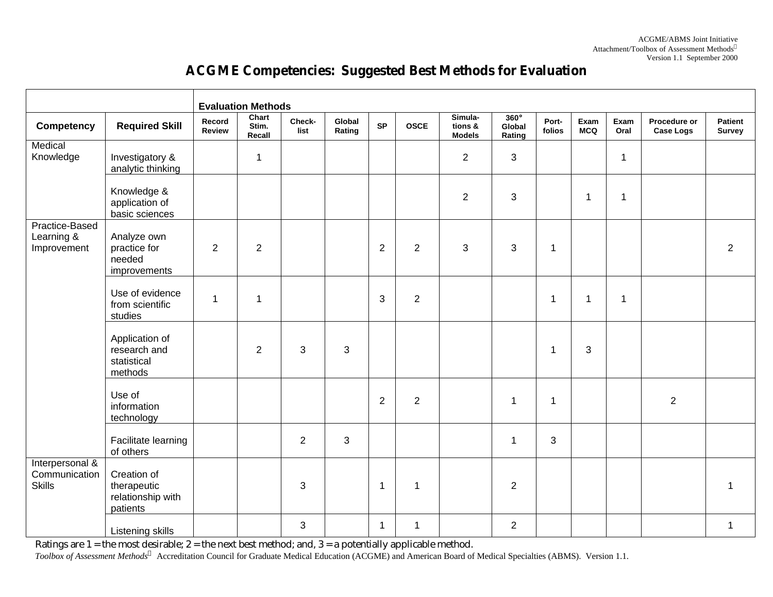## **ACGME Competencies: Suggested Best Methods for Evaluation**

|                                                   |                                                             | <b>Evaluation Methods</b> |                          |                |                  |                |                |                                     |                                 |                 |                    |                |                                  |                   |
|---------------------------------------------------|-------------------------------------------------------------|---------------------------|--------------------------|----------------|------------------|----------------|----------------|-------------------------------------|---------------------------------|-----------------|--------------------|----------------|----------------------------------|-------------------|
| Competency                                        | <b>Required Skill</b>                                       | Record<br><b>Review</b>   | Chart<br>Stim.<br>Recall | Check-<br>list | Global<br>Rating | <b>SP</b>      | <b>OSCE</b>    | Simula-<br>tions &<br><b>Models</b> | $360^\circ$<br>Global<br>Rating | Port-<br>folios | Exam<br><b>MCQ</b> | Exam<br>Oral   | Procedure or<br><b>Case Logs</b> | Patient<br>Survey |
| Medical<br>Knowledge                              | Investigatory &<br>analytic thinking                        |                           | $\mathbf{1}$             |                |                  |                |                | $\overline{2}$                      | 3                               |                 |                    | $\overline{1}$ |                                  |                   |
|                                                   | Knowledge &<br>application of<br>basic sciences             |                           |                          |                |                  |                |                | $\overline{2}$                      | 3                               |                 | $\mathbf{1}$       | $\overline{1}$ |                                  |                   |
| Practice-Based<br>Learning &<br>Improvement       | Analyze own<br>practice for<br>needed<br>improvements       | $\overline{2}$            | $\overline{2}$           |                |                  | $\overline{2}$ | $\overline{2}$ | 3                                   | 3                               | 1               |                    |                |                                  | $\overline{2}$    |
|                                                   | Use of evidence<br>from scientific<br>studies               | $\mathbf 1$               | $\mathbf{1}$             |                |                  | 3              | $\overline{2}$ |                                     |                                 | 1               | $\mathbf{1}$       | $\overline{1}$ |                                  |                   |
|                                                   | Application of<br>research and<br>statistical<br>methods    |                           | $\overline{2}$           | 3              | 3                |                |                |                                     |                                 | $\mathbf 1$     | $\mathbf{3}$       |                |                                  |                   |
|                                                   | Use of<br>information<br>technology                         |                           |                          |                |                  | $\overline{2}$ | $\overline{2}$ |                                     | $\mathbf{1}$                    | 1               |                    |                | $\overline{2}$                   |                   |
|                                                   | Facilitate learning<br>of others                            |                           |                          | 2              | 3                |                |                |                                     | 1                               | 3               |                    |                |                                  |                   |
| Interpersonal &<br>Communication<br><b>Skills</b> | Creation of<br>therapeutic<br>relationship with<br>patients |                           |                          | 3              |                  | $\mathbf{1}$   | $\mathbf{1}$   |                                     | $\overline{2}$                  |                 |                    |                |                                  | 1                 |
|                                                   | Listening skills                                            |                           |                          | $\mathbf{3}$   |                  | $\mathbf{1}$   | $\mathbf{1}$   |                                     | $\overline{2}$                  |                 |                    |                |                                  | $\mathbf 1$       |

Ratings are 1 = the most desirable; 2 = the next best method; and, 3 = a potentially applicable method.

*Toolbox of Assessment Methods<sup>ã</sup>* Accreditation Council for Graduate Medical Education (ACGME) and American Board of Medical Specialties (ABMS). Version 1.1.